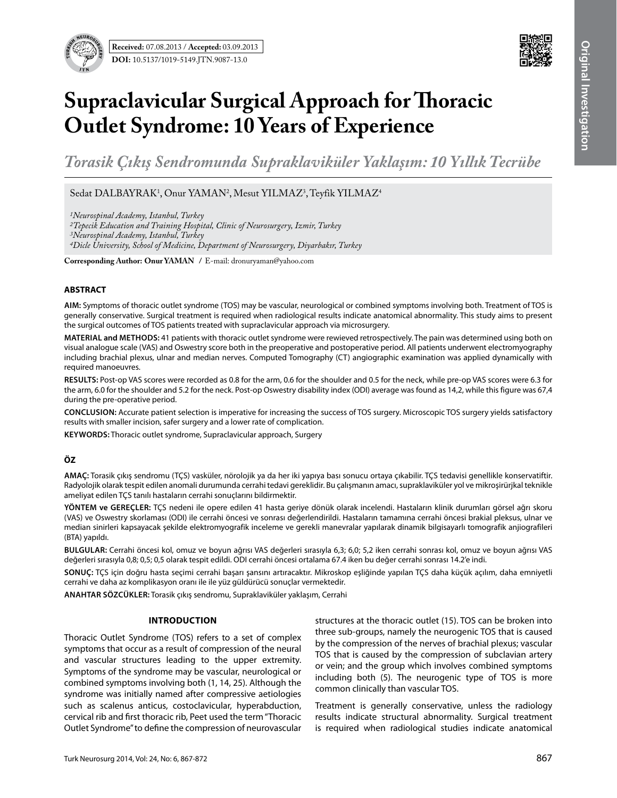

# **Supraclavicular Surgical Approach for Thoracic Outlet Syndrome: 10 Years of Experience**

*Torasik Çıkış Sendromunda Supraklaviküler Yaklaşım: 10 Yıllık Tecrübe*

Sedat DALBAYRAK<sup>1</sup>, Onur YAMAN<sup>2</sup>, Mesut YILMAZ<sup>3</sup>, Teyfik YILMAZ<sup>4</sup>

*1Neurospinal Academy, Istanbul, Turkey*

*2Tepecik Education and Training Hospital, Clinic of Neurosurgery, Izmir, Turkey*

*3Neurospinal Academy, Istanbul, Turkey*

*4Dicle University, School of Medicine, Department of Neurosurgery, Diyarbakır, Turkey*

**Corresponding Author: Onur YAMAN /** E-mail: dronuryaman@yahoo.com

# **ABSTRACT**

**AIm:** Symptoms of thoracic outlet syndrome (TOS) may be vascular, neurological or combined symptoms involving both. Treatment of TOS is generally conservative. Surgical treatment is required when radiological results indicate anatomical abnormality. This study aims to present the surgical outcomes of TOS patients treated with supraclavicular approach via microsurgery.

**MaterIal and Methods:** 41 patients with thoracic outlet syndrome were rewieved retrospectively. The pain was determined using both on visual analogue scale (VAS) and Oswestry score both in the preoperative and postoperative period. All patients underwent electromyography including brachial plexus, ulnar and median nerves. Computed Tomography (CT) angiographic examination was applied dynamically with required manoeuvres.

**Results:** Post-op VAS scores were recorded as 0.8 for the arm, 0.6 for the shoulder and 0.5 for the neck, while pre-op VAS scores were 6.3 for the arm, 6.0 for the shoulder and 5.2 for the neck. Post-op Oswestry disability index (ODI) average was found as 14,2, while this figure was 67,4 during the pre-operative period.

**ConclusIon:** Accurate patient selection is imperative for increasing the success of TOS surgery. Microscopic TOS surgery yields satisfactory results with smaller incision, safer surgery and a lower rate of complication.

**Keywords:** Thoracic outlet syndrome, Supraclavicular approach, Surgery

# **ÖZ**

**AMAÇ:** Torasik çıkış sendromu (TÇS) vasküler, nörolojik ya da her iki yapıya bası sonucu ortaya çıkabilir. TÇS tedavisi genellikle konservatiftir. Radyolojik olarak tespit edilen anomali durumunda cerrahi tedavi gereklidir. Bu çalışmanın amacı, supraklaviküler yol ve mikroşirürjkal teknikle ameliyat edilen TÇS tanılı hastaların cerrahi sonuçlarını bildirmektir.

**YÖNTEM ve GEREÇLER:** TÇS nedeni ile opere edilen 41 hasta geriye dönük olarak incelendi. Hastaların klinik durumları görsel ağrı skoru (VAS) ve Oswestry skorlaması (ODI) ile cerrahi öncesi ve sonrası değerlendirildi. Hastaların tamamına cerrahi öncesi brakial pleksus, ulnar ve median sinirleri kapsayacak şekilde elektromyografik inceleme ve gerekli manevralar yapılarak dinamik bilgisayarlı tomografik anjiografileri (BTA) yapıldı.

**BULGULAR:** Cerrahi öncesi kol, omuz ve boyun ağrısı VAS değerleri sırasıyla 6,3; 6,0; 5,2 iken cerrahi sonrası kol, omuz ve boyun ağrısı VAS değerleri sırasıyla 0,8; 0,5; 0,5 olarak tespit edildi. ODI cerrahi öncesi ortalama 67.4 iken bu değer cerrahi sonrası 14.2'e indi.

**SONUÇ:** TÇS için doğru hasta seçimi cerrahi başarı şansını artıracaktır. Mikroskop eşliğinde yapılan TÇS daha küçük açılım, daha emniyetli cerrahi ve daha az komplikasyon oranı ile ile yüz güldürücü sonuçlar vermektedir.

**ANAHTAR SÖZCÜKLER:** Torasik çıkış sendromu, Supraklaviküler yaklaşım, Cerrahi

# **Introduction**

Thoracic Outlet Syndrome (TOS) refers to a set of complex symptoms that occur as a result of compression of the neural and vascular structures leading to the upper extremity. Symptoms of the syndrome may be vascular, neurological or combined symptoms involving both (1, 14, 25). Although the syndrome was initially named after compressive aetiologies such as scalenus anticus, costoclavicular, hyperabduction, cervical rib and first thoracic rib, Peet used the term "Thoracic Outlet Syndrome" to define the compression of neurovascular structures at the thoracic outlet (15). TOS can be broken into three sub-groups, namely the neurogenic TOS that is caused by the compression of the nerves of brachial plexus; vascular TOS that is caused by the compression of subclavian artery or vein; and the group which involves combined symptoms including both (5). The neurogenic type of TOS is more common clinically than vascular TOS.

Treatment is generally conservative, unless the radiology results indicate structural abnormality. Surgical treatment is required when radiological studies indicate anatomical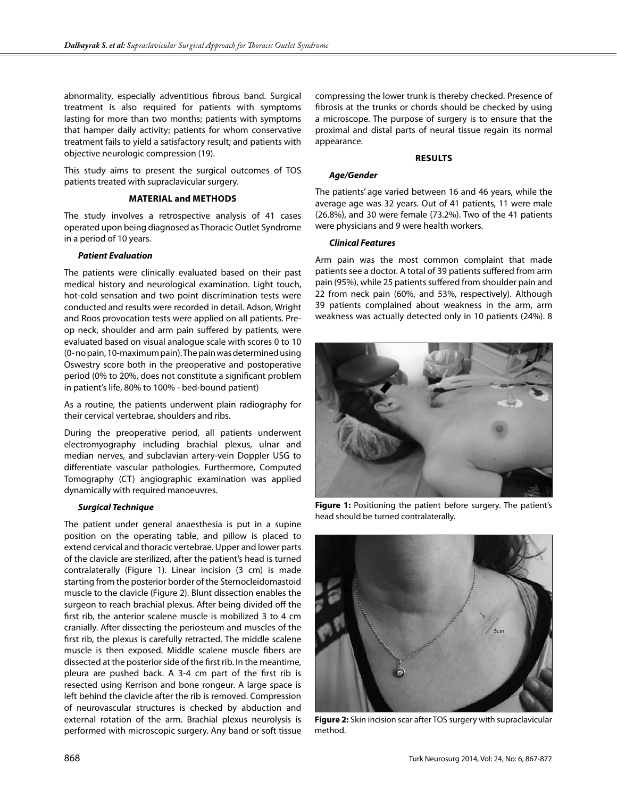abnormality, especially adventitious fibrous band. Surgical treatment is also required for patients with symptoms lasting for more than two months; patients with symptoms that hamper daily activity; patients for whom conservative treatment fails to yield a satisfactory result; and patients with objective neurologic compression (19).

This study aims to present the surgical outcomes of TOS patients treated with supraclavicular surgery.

#### **Material and MethodS**

The study involves a retrospective analysis of 41 cases operated upon being diagnosed as Thoracic Outlet Syndrome in a period of 10 years.

#### *Patient Evaluation*

The patients were clinically evaluated based on their past medical history and neurological examination. Light touch, hot-cold sensation and two point discrimination tests were conducted and results were recorded in detail. Adson, Wright and Roos provocation tests were applied on all patients. Preop neck, shoulder and arm pain suffered by patients, were evaluated based on visual analogue scale with scores 0 to 10 (0- no pain, 10-maximum pain). The pain was determined using Oswestry score both in the preoperative and postoperative period (0% to 20%, does not constitute a significant problem in patient's life, 80% to 100% - bed-bound patient)

As a routine, the patients underwent plain radiography for their cervical vertebrae, shoulders and ribs.

During the preoperative period, all patients underwent electromyography including brachial plexus, ulnar and median nerves, and subclavian artery-vein Doppler USG to differentiate vascular pathologies. Furthermore, Computed Tomography (CT) angiographic examination was applied dynamically with required manoeuvres.

#### *Surgical Technique*

The patient under general anaesthesia is put in a supine position on the operating table, and pillow is placed to extend cervical and thoracic vertebrae. Upper and lower parts of the clavicle are sterilized, after the patient's head is turned contralaterally (Figure 1). Linear incision (3 cm) is made starting from the posterior border of the Sternocleidomastoid muscle to the clavicle (Figure 2). Blunt dissection enables the surgeon to reach brachial plexus. After being divided off the first rib, the anterior scalene muscle is mobilized 3 to 4 cm cranially. After dissecting the periosteum and muscles of the first rib, the plexus is carefully retracted. The middle scalene muscle is then exposed. Middle scalene muscle fibers are dissected at the posterior side of the first rib. In the meantime, pleura are pushed back. A 3-4 cm part of the first rib is resected using Kerrison and bone rongeur. A large space is left behind the clavicle after the rib is removed. Compression of neurovascular structures is checked by abduction and external rotation of the arm. Brachial plexus neurolysis is performed with microscopic surgery. Any band or soft tissue

compressing the lower trunk is thereby checked. Presence of fibrosis at the trunks or chords should be checked by using a microscope. The purpose of surgery is to ensure that the proximal and distal parts of neural tissue regain its normal appearance.

#### **Results**

#### *Age/Gender*

The patients' age varied between 16 and 46 years, while the average age was 32 years. Out of 41 patients, 11 were male (26.8%), and 30 were female (73.2%). Two of the 41 patients were physicians and 9 were health workers.

#### *Clinical Features*

Arm pain was the most common complaint that made patients see a doctor. A total of 39 patients suffered from arm pain (95%), while 25 patients suffered from shoulder pain and 22 from neck pain (60%, and 53%, respectively). Although 39 patients complained about weakness in the arm, arm weakness was actually detected only in 10 patients (24%). 8



**Figure 1:** Positioning the patient before surgery. The patient's head should be turned contralaterally.



**Figure 2:** Skin incision scar after TOS surgery with supraclavicular method.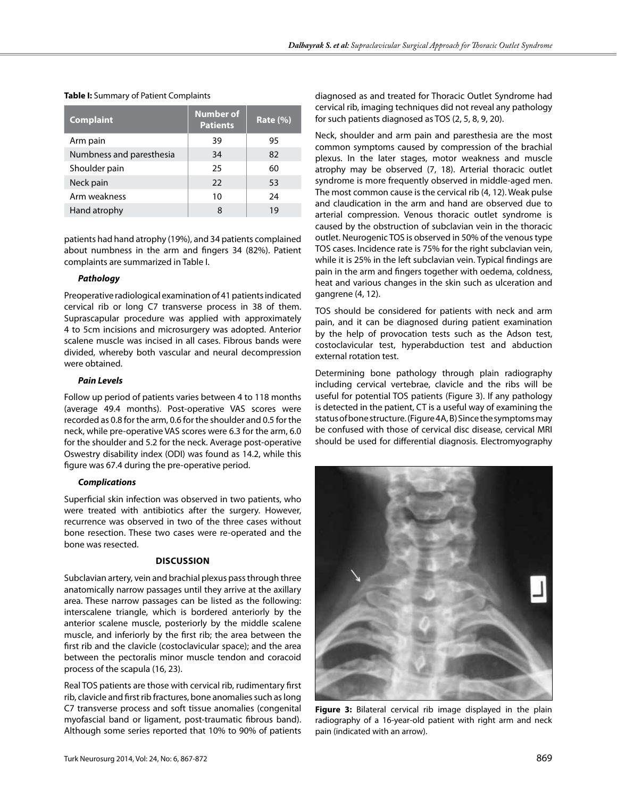| <b>Complaint</b>         | <b>Number of</b><br><b>Patients</b> | <b>Rate (%)</b> |
|--------------------------|-------------------------------------|-----------------|
| Arm pain                 | 39                                  | 95              |
| Numbness and paresthesia | 34                                  | 82              |
| Shoulder pain            | 25                                  | 60              |
| Neck pain                | 22                                  | 53              |
| Arm weakness             | 10                                  | 24              |
| Hand atrophy             | 8                                   | 19              |

**Table I:** Summary of Patient Complaints

patients had hand atrophy (19%), and 34 patients complained about numbness in the arm and fingers 34 (82%). Patient complaints are summarized in Table I.

### *Pathology*

Preoperative radiological examination of 41 patients indicated cervical rib or long C7 transverse process in 38 of them. Suprascapular procedure was applied with approximately 4 to 5cm incisions and microsurgery was adopted. Anterior scalene muscle was incised in all cases. Fibrous bands were divided, whereby both vascular and neural decompression were obtained.

#### *Pain Levels*

Follow up period of patients varies between 4 to 118 months (average 49.4 months). Post-operative VAS scores were recorded as 0.8 for the arm, 0.6 for the shoulder and 0.5 for the neck, while pre-operative VAS scores were 6.3 for the arm, 6.0 for the shoulder and 5.2 for the neck. Average post-operative Oswestry disability index (ODI) was found as 14.2, while this figure was 67.4 during the pre-operative period.

# *Complications*

Superficial skin infection was observed in two patients, who were treated with antibiotics after the surgery. However, recurrence was observed in two of the three cases without bone resection. These two cases were re-operated and the bone was resected.

# **Discussion**

Subclavian artery, vein and brachial plexus pass through three anatomically narrow passages until they arrive at the axillary area. These narrow passages can be listed as the following: interscalene triangle, which is bordered anteriorly by the anterior scalene muscle, posteriorly by the middle scalene muscle, and inferiorly by the first rib; the area between the first rib and the clavicle (costoclavicular space); and the area between the pectoralis minor muscle tendon and coracoid process of the scapula (16, 23).

Real TOS patients are those with cervical rib, rudimentary first rib, clavicle and first rib fractures, bone anomalies such as long C7 transverse process and soft tissue anomalies (congenital myofascial band or ligament, post-traumatic fibrous band). Although some series reported that 10% to 90% of patients

diagnosed as and treated for Thoracic Outlet Syndrome had cervical rib, imaging techniques did not reveal any pathology for such patients diagnosed as TOS (2, 5, 8, 9, 20).

Neck, shoulder and arm pain and paresthesia are the most common symptoms caused by compression of the brachial plexus. In the later stages, motor weakness and muscle atrophy may be observed (7, 18). Arterial thoracic outlet syndrome is more frequently observed in middle-aged men. The most common cause is the cervical rib (4, 12). Weak pulse and claudication in the arm and hand are observed due to arterial compression. Venous thoracic outlet syndrome is caused by the obstruction of subclavian vein in the thoracic outlet. Neurogenic TOS is observed in 50% of the venous type TOS cases. Incidence rate is 75% for the right subclavian vein, while it is 25% in the left subclavian vein. Typical findings are pain in the arm and fingers together with oedema, coldness, heat and various changes in the skin such as ulceration and gangrene (4, 12).

TOS should be considered for patients with neck and arm pain, and it can be diagnosed during patient examination by the help of provocation tests such as the Adson test, costoclavicular test, hyperabduction test and abduction external rotation test.

Determining bone pathology through plain radiography including cervical vertebrae, clavicle and the ribs will be useful for potential TOS patients (Figure 3). If any pathology is detected in the patient, CT is a useful way of examining the status of bone structure. (Figure 4A, B) Since the symptoms may be confused with those of cervical disc disease, cervical MRI should be used for differential diagnosis. Electromyography



**Figure 3:** Bilateral cervical rib image displayed in the plain radiography of a 16-year-old patient with right arm and neck pain (indicated with an arrow).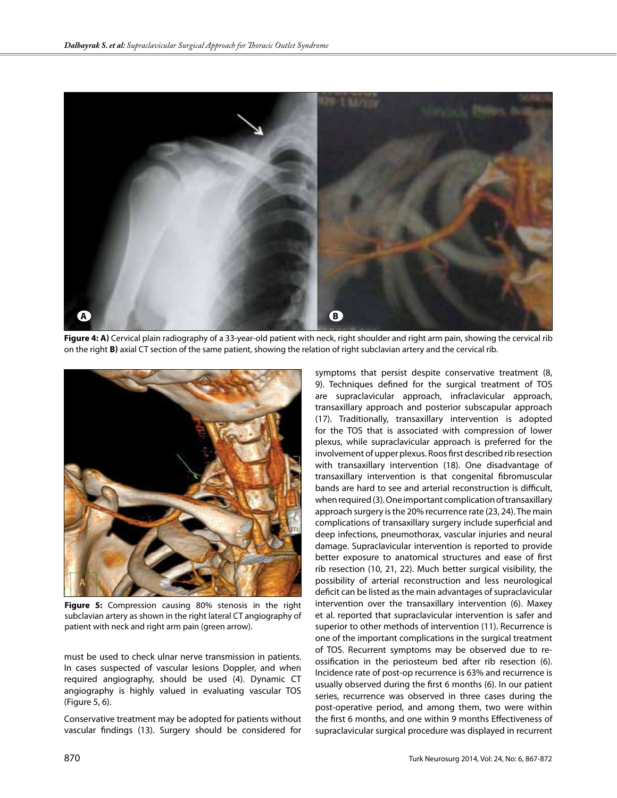

Figure 4: A) Cervical plain radiography of a 33-year-old patient with neck, right shoulder and right arm pain, showing the cervical rib on the right **B)** axial CT section of the same patient, showing the relation of right subclavian artery and the cervical rib.



**Figure 5:** Compression causing 80% stenosis in the right subclavian artery as shown in the right lateral CT angiography of patient with neck and right arm pain (green arrow).

must be used to check ulnar nerve transmission in patients. In cases suspected of vascular lesions Doppler, and when required angiography, should be used (4). Dynamic CT angiography is highly valued in evaluating vascular TOS (Figure 5, 6).

Conservative treatment may be adopted for patients without vascular findings (13). Surgery should be considered for

symptoms that persist despite conservative treatment (8, 9). Techniques defined for the surgical treatment of TOS are supraclavicular approach, infraclavicular approach, transaxillary approach and posterior subscapular approach (17). Traditionally, transaxillary intervention is adopted for the TOS that is associated with compression of lower plexus, while supraclavicular approach is preferred for the involvement of upper plexus. Roos first described rib resection with transaxillary intervention (18). One disadvantage of transaxillary intervention is that congenital fibromuscular bands are hard to see and arterial reconstruction is difficult, when required (3). One important complication of transaxillary approach surgery is the 20% recurrence rate (23, 24). The main complications of transaxillary surgery include superficial and deep infections, pneumothorax, vascular injuries and neural damage. Supraclavicular intervention is reported to provide better exposure to anatomical structures and ease of first rib resection (10, 21, 22). Much better surgical visibility, the possibility of arterial reconstruction and less neurological deficit can be listed as the main advantages of supraclavicular intervention over the transaxillary intervention (6). Maxey et al. reported that supraclavicular intervention is safer and superior to other methods of intervention (11). Recurrence is one of the important complications in the surgical treatment of TOS. Recurrent symptoms may be observed due to reossification in the periosteum bed after rib resection (6). Incidence rate of post-op recurrence is 63% and recurrence is usually observed during the first 6 months (6). In our patient series, recurrence was observed in three cases during the post-operative period, and among them, two were within the first 6 months, and one within 9 months Effectiveness of supraclavicular surgical procedure was displayed in recurrent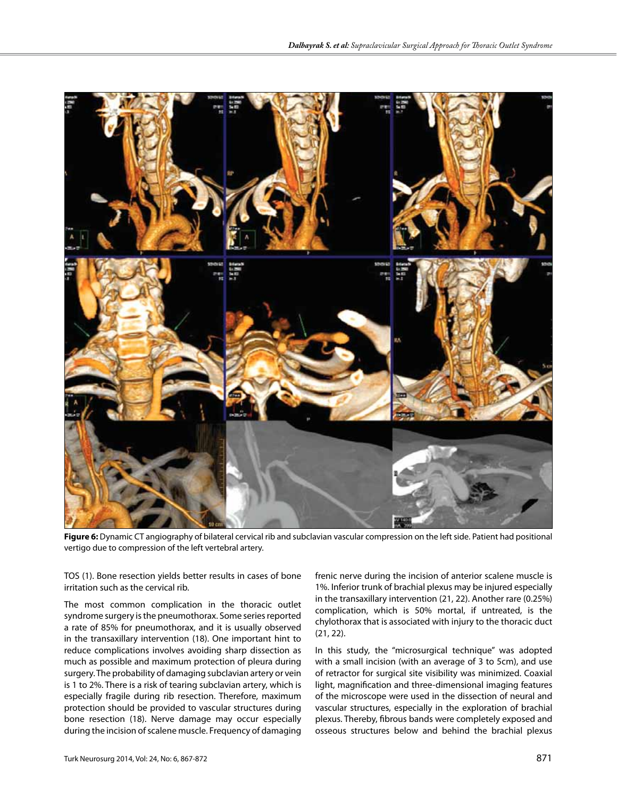

**Figure 6:** Dynamic CT angiography of bilateral cervical rib and subclavian vascular compression on the left side. Patient had positional vertigo due to compression of the left vertebral artery.

TOS (1). Bone resection yields better results in cases of bone irritation such as the cervical rib.

The most common complication in the thoracic outlet syndrome surgery is the pneumothorax. Some series reported a rate of 85% for pneumothorax, and it is usually observed in the transaxillary intervention (18). One important hint to reduce complications involves avoiding sharp dissection as much as possible and maximum protection of pleura during surgery. The probability of damaging subclavian artery or vein is 1 to 2%. There is a risk of tearing subclavian artery, which is especially fragile during rib resection. Therefore, maximum protection should be provided to vascular structures during bone resection (18). Nerve damage may occur especially during the incision of scalene muscle. Frequency of damaging

frenic nerve during the incision of anterior scalene muscle is 1%. Inferior trunk of brachial plexus may be injured especially in the transaxillary intervention (21, 22). Another rare (0.25%) complication, which is 50% mortal, if untreated, is the chylothorax that is associated with injury to the thoracic duct (21, 22).

In this study, the "microsurgical technique" was adopted with a small incision (with an average of 3 to 5cm), and use of retractor for surgical site visibility was minimized. Coaxial light, magnification and three-dimensional imaging features of the microscope were used in the dissection of neural and vascular structures, especially in the exploration of brachial plexus. Thereby, fibrous bands were completely exposed and osseous structures below and behind the brachial plexus